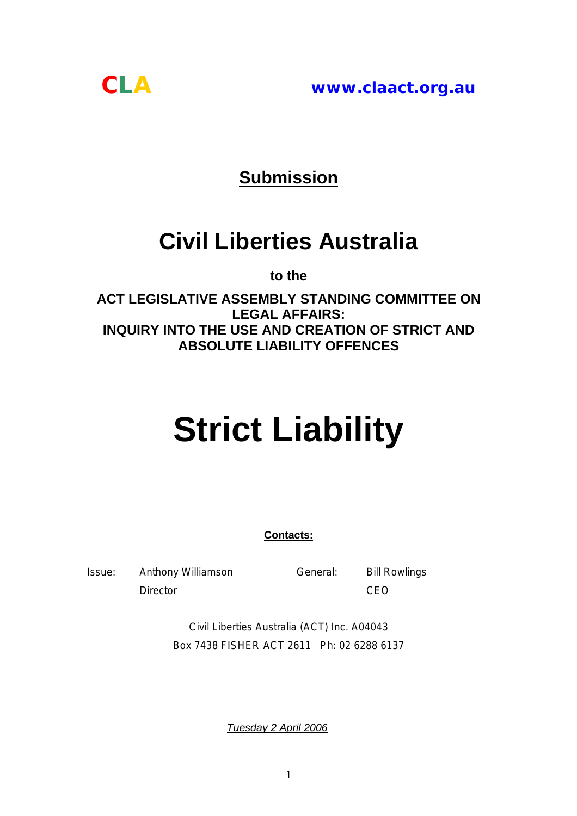*CLA* **www.claact.org.au**



## **Submission**

# **Civil Liberties Australia**

**to the** 

**ACT LEGISLATIVE ASSEMBLY STANDING COMMITTEE ON LEGAL AFFAIRS: INQUIRY INTO THE USE AND CREATION OF STRICT AND ABSOLUTE LIABILITY OFFENCES** 

# **Strict Liability**

**Contacts:**

Issue: Anthony Williamson General: Bill Rowlings Director **CEO** 

Civil Liberties Australia (ACT) Inc. A04043 Box 7438 FISHER ACT 2611 Ph: 02 6288 6137

*Tuesday 2 April 2006*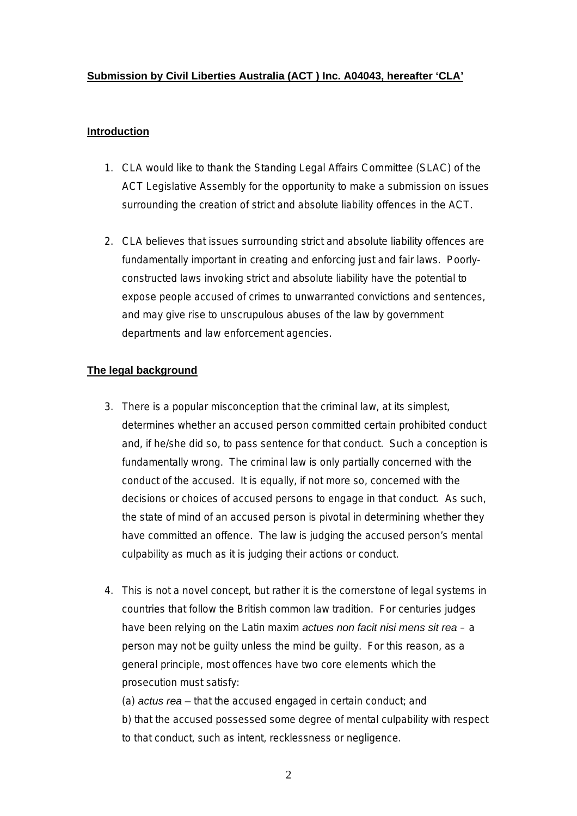#### **Submission by Civil Liberties Australia (ACT ) Inc. A04043, hereafter 'CLA'**

#### **Introduction**

- 1. CLA would like to thank the Standing Legal Affairs Committee (SLAC) of the ACT Legislative Assembly for the opportunity to make a submission on issues surrounding the creation of strict and absolute liability offences in the ACT.
- 2. CLA believes that issues surrounding strict and absolute liability offences are fundamentally important in creating and enforcing just and fair laws. Poorlyconstructed laws invoking strict and absolute liability have the potential to expose people accused of crimes to unwarranted convictions and sentences, and may give rise to unscrupulous abuses of the law by government departments and law enforcement agencies.

#### **The legal background**

- 3. There is a popular misconception that the criminal law, at its simplest, determines whether an accused person committed certain prohibited conduct and, if he/she did so, to pass sentence for that conduct. Such a conception is fundamentally wrong. The criminal law is only partially concerned with the conduct of the accused. It is equally, if not more so, concerned with the decisions or choices of accused persons to engage in that conduct. As such, the state of mind of an accused person is pivotal in determining whether they have committed an offence. The law is judging the accused person's mental culpability as much as it is judging their actions or conduct.
- 4. This is not a novel concept, but rather it is the cornerstone of legal systems in countries that follow the British common law tradition. For centuries judges have been relying on the Latin maxim *actues non facit nisi mens sit rea* – a person may not be guilty unless the mind be guilty. For this reason, as a general principle, most offences have two core elements which the prosecution must satisfy:

(a) *actus rea –* that the accused engaged in certain conduct; and b) that the accused possessed some degree of mental culpability with respect to that conduct, such as intent, recklessness or negligence.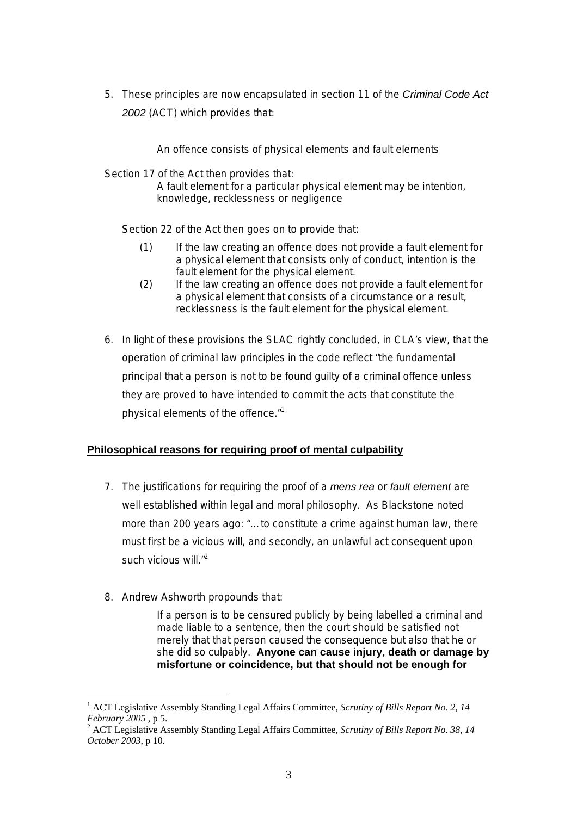5. These principles are now encapsulated in section 11 of the *Criminal Code Act 2002* (ACT) which provides that:

An offence consists of physical elements and fault elements

Section 17 of the Act then provides that:

A fault element for a particular physical element may be intention, knowledge, recklessness or negligence

Section 22 of the Act then goes on to provide that:

- (1) If the law creating an offence does not provide a fault element for a physical element that consists only of conduct, intention is the fault element for the physical element.
- (2) If the law creating an offence does not provide a fault element for a physical element that consists of a circumstance or a result, recklessness is the fault element for the physical element.
- 6. In light of these provisions the SLAC rightly concluded, in CLA's view, that the operation of criminal law principles in the code reflect "the fundamental principal that a person is not to be found guilty of a criminal offence unless they are proved to have intended to commit the acts that constitute the physical elements of the offence."[1](#page-2-0)

#### **Philosophical reasons for requiring proof of mental culpability**

- 7. The justifications for requiring the proof of a *mens rea* or *fault element* are well established within legal and moral philosophy. As Blackstone noted more than 200 years ago: "…to constitute a crime against human law, there must first be a vicious will, and secondly, an unlawful act consequent upon such vicious will."<sup>[2](#page-2-1)</sup>
- 8. Andrew Ashworth propounds that:

 $\overline{a}$ 

If a person is to be censured publicly by being labelled a criminal and made liable to a sentence, then the court should be satisfied not merely that that person caused the consequence but also that he or she did so culpably. **Anyone can cause injury, death or damage by misfortune or coincidence, but that should not be enough for** 

<span id="page-2-0"></span><sup>1</sup> ACT Legislative Assembly Standing Legal Affairs Committee, *Scrutiny of Bills Report No. 2, 14 February 2005*, p 5.<br><sup>2</sup> ACT Legislative Assembly Standing Legal Affairs Committee, *Scrutiny of Bills Report No. 38, 14* 

<span id="page-2-1"></span>*October 2003,* p 10.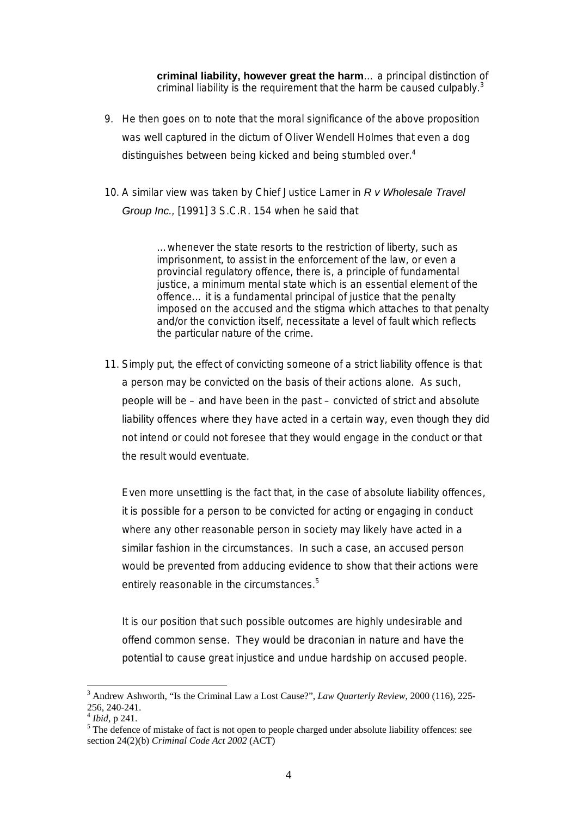**criminal liability, however great the harm**… a principal distinction of criminal liability is the requirement that the harm be caused culpably. $3$ 

- 9. He then goes on to note that the moral significance of the above proposition was well captured in the dictum of Oliver Wendell Holmes that even a dog distinguishes between being kicked and being stumbled over.<sup>[4](#page-3-1)</sup>
- 10. A similar view was taken by Chief Justice Lamer in *R v Wholesale Travel Group Inc.,* [1991] 3 S.C.R. 154 when he said that

…whenever the state resorts to the restriction of liberty, such as imprisonment, to assist in the enforcement of the law, or even a provincial regulatory offence, there is, a principle of fundamental justice, a minimum mental state which is an essential element of the offence… it is a fundamental principal of justice that the penalty imposed on the accused and the stigma which attaches to that penalty and/or the conviction itself, necessitate a level of fault which reflects the particular nature of the crime.

11. Simply put, the effect of convicting someone of a strict liability offence is that a person may be convicted on the basis of their actions alone. As such, people will be – and have been in the past – convicted of strict and absolute liability offences where they have acted in a certain way, even though they did not intend or could not foresee that they would engage in the conduct or that the result would eventuate.

Even more unsettling is the fact that, in the case of absolute liability offences, it is possible for a person to be convicted for acting or engaging in conduct where any other reasonable person in society may likely have acted in a similar fashion in the circumstances. In such a case, an accused person would be prevented from adducing evidence to show that their actions were entirely reasonable in the circumstances.<sup>[5](#page-3-2)</sup>

It is our position that such possible outcomes are highly undesirable and offend common sense. They would be draconian in nature and have the potential to cause great injustice and undue hardship on accused people.

<span id="page-3-0"></span><sup>3</sup> Andrew Ashworth, "Is the Criminal Law a Lost Cause?", *Law Quarterly Review*, 2000 (116), 225- 256, 240-241.<br><sup>4</sup> *Ibid*, p 241.

<span id="page-3-1"></span>

<span id="page-3-2"></span><sup>&</sup>lt;sup>5</sup> The defence of mistake of fact is not open to people charged under absolute liability offences: see section 24(2)(b) *Criminal Code Act 2002* (ACT)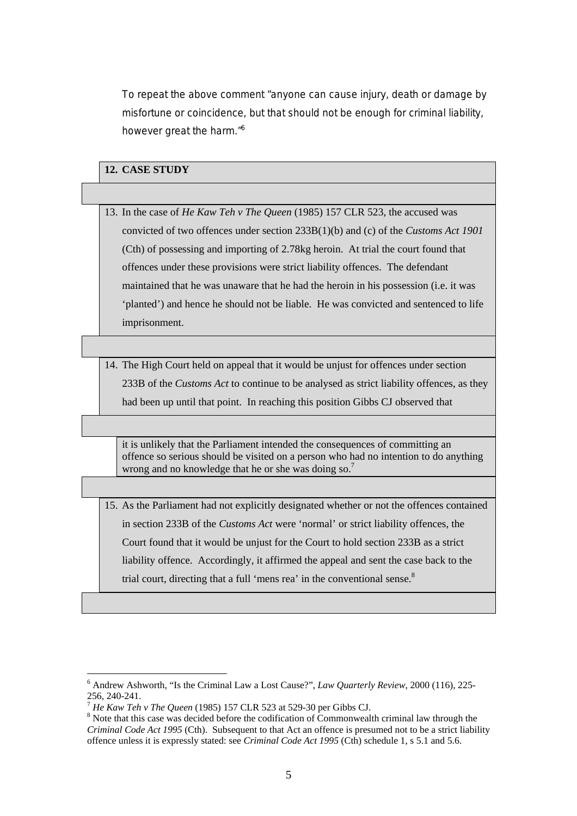To repeat the above comment "anyone can cause injury, death or damage by misfortune or coincidence, but that should not be enough for criminal liability, however great the harm."[6](#page-4-0)

### **12. CASE STUDY**

13. In the case of *He Kaw Teh v The Queen* (1985) 157 CLR 523, the accused was convicted of two offences under section 233B(1)(b) and (c) of the *Customs Act 1901* (Cth) of possessing and importing of 2.78kg heroin. At trial the court found that offences under these provisions were strict liability offences. The defendant maintained that he was unaware that he had the heroin in his possession (i.e. it was 'planted') and hence he should not be liable. He was convicted and sentenced to life imprisonment.

14. The High Court held on appeal that it would be unjust for offences under section 233B of the *Customs Act* to continue to be analysed as strict liability offences, as they had been up until that point. In reaching this position Gibbs CJ observed that

it is unlikely that the Parliament intended the consequences of committing an offence so serious should be visited on a person who had no intention to do anything wrong and no knowledge that he or she was doing so.<sup>7</sup>

15. As the Parliament had not explicitly designated whether or not the offences contained in section 233B of the *Customs Act* were 'normal' or strict liability offences, the Court found that it would be unjust for the Court to hold section 233B as a strict liability offence. Accordingly, it affirmed the appeal and sent the case back to the trial court, directing that a full 'mens rea' in the conventional sense.<sup>[8](#page-4-2)</sup>

<span id="page-4-0"></span><sup>6</sup> Andrew Ashworth, "Is the Criminal Law a Lost Cause?", *Law Quarterly Review*, 2000 (116), 225- 256, 240-241. 7 *He Kaw Teh v The Queen* (1985) 157 CLR 523 at 529-30 per Gibbs CJ. 8

<span id="page-4-1"></span>

<span id="page-4-2"></span> $8$  Note that this case was decided before the codification of Commonwealth criminal law through the *Criminal Code Act 1995* (Cth). Subsequent to that Act an offence is presumed not to be a strict liability offence unless it is expressly stated: see *Criminal Code Act 1995* (Cth) schedule 1, s 5.1 and 5.6.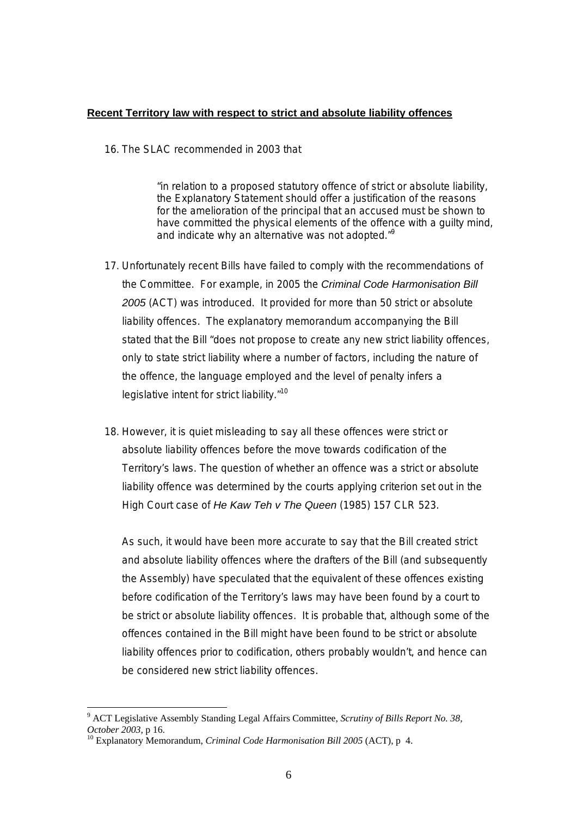#### **Recent Territory law with respect to strict and absolute liability offences**

16. The SLAC recommended in 2003 that

"in relation to a proposed statutory offence of strict or absolute liability, the Explanatory Statement should offer a justification of the reasons for the amelioration of the principal that an accused must be shown to have committed the physical elements of the offence with a guilty mind, and indicate why an alternative was not adopted."<sup>[9](#page-5-0)</sup>

- 17. Unfortunately recent Bills have failed to comply with the recommendations of the Committee. For example, in 2005 the *Criminal Code Harmonisation Bill 2005* (ACT) was introduced. It provided for more than 50 strict or absolute liability offences. The explanatory memorandum accompanying the Bill stated that the Bill "does not propose to create any new strict liability offences, only to state strict liability where a number of factors, including the nature of the offence, the language employed and the level of penalty infers a legislative intent for strict liability."<sup>10</sup>
- 18. However, it is quiet misleading to say all these offences were strict or absolute liability offences before the move towards codification of the Territory's laws. The question of whether an offence was a strict or absolute liability offence was determined by the courts applying criterion set out in the High Court case of *He Kaw Teh v The Queen* (1985) 157 CLR 523.

As such, it would have been more accurate to say that the Bill created strict and absolute liability offences where the drafters of the Bill (and subsequently the Assembly) have speculated that the equivalent of these offences existing before codification of the Territory's laws may have been found by a court to be strict or absolute liability offences. It is probable that, although some of the offences contained in the Bill might have been found to be strict or absolute liability offences prior to codification, others probably wouldn't, and hence can be considered new strict liability offences.

<span id="page-5-0"></span><sup>9</sup> ACT Legislative Assembly Standing Legal Affairs Committee, *Scrutiny of Bills Report No. 38, October 2003,* p 16.<br><sup>10</sup> Explanatory Memorandum, *Criminal Code Harmonisation Bill 2005* (ACT), p 4.

<span id="page-5-1"></span>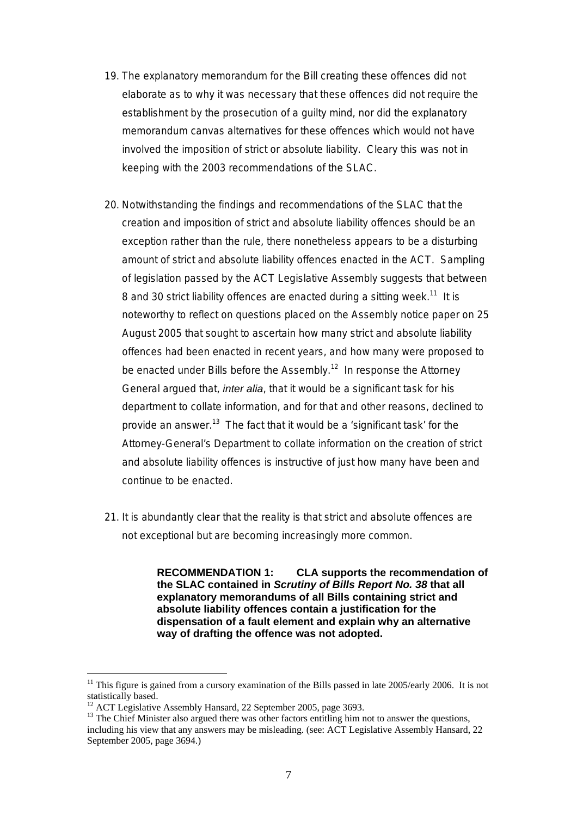- 19. The explanatory memorandum for the Bill creating these offences did not elaborate as to why it was necessary that these offences did not require the establishment by the prosecution of a guilty mind, nor did the explanatory memorandum canvas alternatives for these offences which would not have involved the imposition of strict or absolute liability. Cleary this was not in keeping with the 2003 recommendations of the SLAC.
- 20. Notwithstanding the findings and recommendations of the SLAC that the creation and imposition of strict and absolute liability offences should be an exception rather than the rule, there nonetheless appears to be a disturbing amount of strict and absolute liability offences enacted in the ACT. Sampling of legislation passed by the ACT Legislative Assembly suggests that between 8 and 30 strict liability offences are enacted during a sitting week.<sup>11</sup> It is noteworthy to reflect on questions placed on the Assembly notice paper on 25 August 2005 that sought to ascertain how many strict and absolute liability offences had been enacted in recent years, and how many were proposed to be enacted under Bills before the Assembly.<sup>12</sup> In response the Attorney General argued that, *inter alia*, that it would be a significant task for his department to collate information, and for that and other reasons, declined to provide an answer.<sup>13</sup> The fact that it would be a 'significant task' for the Attorney-General's Department to collate information on the creation of strict and absolute liability offences is instructive of just how many have been and continue to be enacted.
- 21. It is abundantly clear that the reality is that strict and absolute offences are not exceptional but are becoming increasingly more common.

**RECOMMENDATION 1: CLA supports the recommendation of the SLAC contained in** *Scrutiny of Bills Report No. 38* **that all explanatory memorandums of all Bills containing strict and absolute liability offences contain a justification for the dispensation of a fault element and explain why an alternative way of drafting the offence was not adopted.** 

<span id="page-6-0"></span> $11$  This figure is gained from a cursory examination of the Bills passed in late 2005/early 2006. It is not statistically based.<br><sup>12</sup> ACT Legislative Assembly Hansard, 22 September 2005, page 3693.<br><sup>13</sup> The Chief Minister also argued there was other factors entitling him not to answer the questions,

<span id="page-6-1"></span>

<span id="page-6-2"></span>including his view that any answers may be misleading. (see: ACT Legislative Assembly Hansard, 22 September 2005, page 3694.)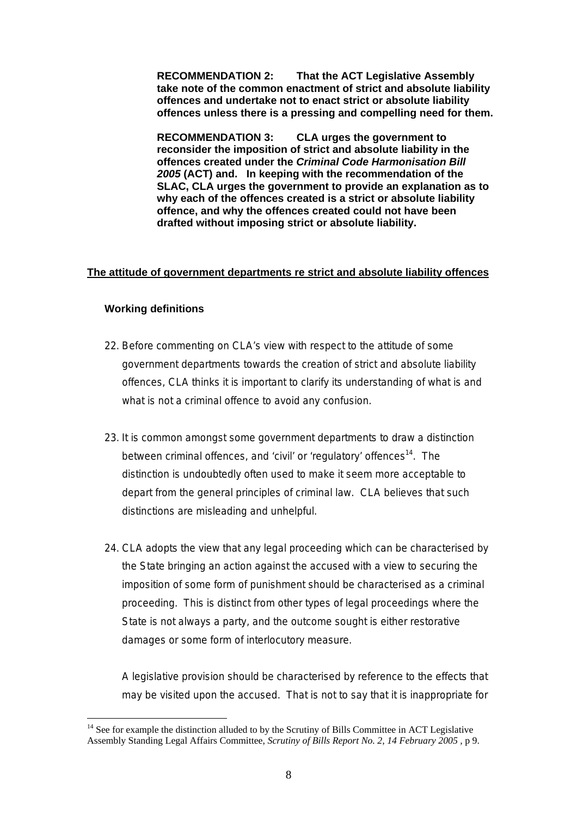**RECOMMENDATION 2: That the ACT Legislative Assembly take note of the common enactment of strict and absolute liability offences and undertake not to enact strict or absolute liability offences unless there is a pressing and compelling need for them.** 

**RECOMMENDATION 3: CLA urges the government to reconsider the imposition of strict and absolute liability in the offences created under the** *Criminal Code Harmonisation Bill 2005* **(ACT) and. In keeping with the recommendation of the SLAC, CLA urges the government to provide an explanation as to why each of the offences created is a strict or absolute liability offence, and why the offences created could not have been drafted without imposing strict or absolute liability.**

#### **The attitude of government departments re strict and absolute liability offences**

#### **Working definitions**

 $\overline{a}$ 

- 22. Before commenting on CLA's view with respect to the attitude of some government departments towards the creation of strict and absolute liability offences, CLA thinks it is important to clarify its understanding of what is and what is not a criminal offence to avoid any confusion.
- 23. It is common amongst some government departments to draw a distinction between criminal offences, and 'civil' or 'regulatory' offences<sup>14</sup>. The distinction is undoubtedly often used to make it seem more acceptable to depart from the general principles of criminal law. CLA believes that such distinctions are misleading and unhelpful.
- 24. CLA adopts the view that any legal proceeding which can be characterised by the State bringing an action against the accused with a view to securing the imposition of some form of punishment should be characterised as a criminal proceeding. This is distinct from other types of legal proceedings where the State is not always a party, and the outcome sought is either restorative damages or some form of interlocutory measure.

A legislative provision should be characterised by reference to the effects that may be visited upon the accused. That is not to say that it is inappropriate for

<span id="page-7-0"></span> $14$  See for example the distinction alluded to by the Scrutiny of Bills Committee in ACT Legislative Assembly Standing Legal Affairs Committee, *Scrutiny of Bills Report No. 2, 14 February 2005 ,* p 9.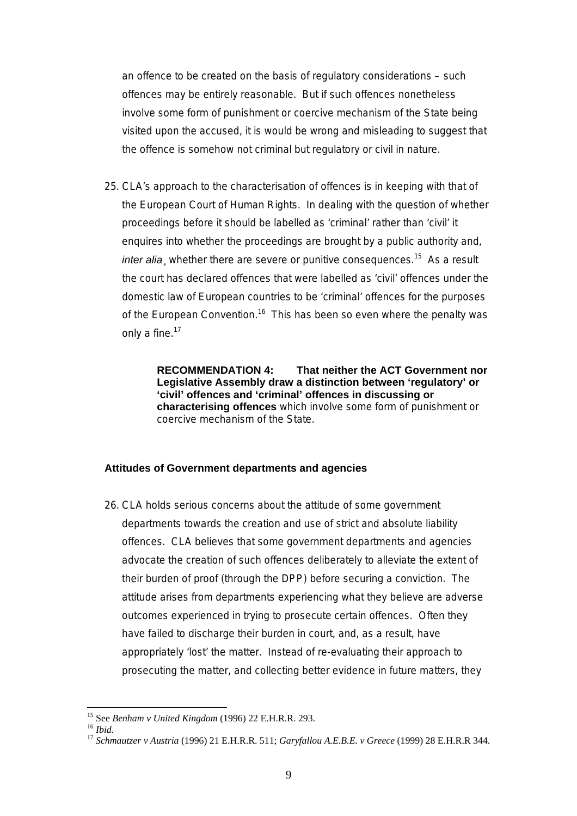an offence to be created on the basis of regulatory considerations – such offences may be entirely reasonable. But if such offences nonetheless involve some form of punishment or coercive mechanism of the State being visited upon the accused, it is would be wrong and misleading to suggest that the offence is somehow not criminal but regulatory or civil in nature.

25. CLA's approach to the characterisation of offences is in keeping with that of the European Court of Human Rights. In dealing with the question of whether proceedings before it should be labelled as 'criminal' rather than 'civil' it enquires into whether the proceedings are brought by a public authority and, *inter alia*, whether there are severe or punitive consequences.<sup>15</sup> As a result the court has declared offences that were labelled as 'civil' offences under the domestic law of European countries to be 'criminal' offences for the purposes of the European Convention.<sup>16</sup> This has been so even where the penalty was only a fine.<sup>17</sup>

> **RECOMMENDATION 4: That neither the ACT Government nor Legislative Assembly draw a distinction between 'regulatory' or 'civil' offences and 'criminal' offences in discussing or characterising offences** which involve some form of punishment or coercive mechanism of the State.

#### **Attitudes of Government departments and agencies**

26. CLA holds serious concerns about the attitude of some government departments towards the creation and use of strict and absolute liability offences. CLA believes that some government departments and agencies advocate the creation of such offences deliberately to alleviate the extent of their burden of proof (through the DPP) before securing a conviction. The attitude arises from departments experiencing what they believe are adverse outcomes experienced in trying to prosecute certain offences. Often they have failed to discharge their burden in court, and, as a result, have appropriately 'lost' the matter. Instead of re-evaluating their approach to prosecuting the matter, and collecting better evidence in future matters, they

<span id="page-8-0"></span><sup>&</sup>lt;sup>15</sup> See Benham v United Kingdom (1996) 22 E.H.R.R. 293.

<span id="page-8-2"></span><span id="page-8-1"></span>

<sup>15</sup> See *Benham v United Kingdom* (1996) 22 E.H.R.R. 293. 16 *Ibid.* <sup>17</sup> *Schmautzer v Austria* (1996) 21 E.H.R.R. 511; *Garyfallou A.E.B.E. v Greece* (1999) 28 E.H.R.R 344.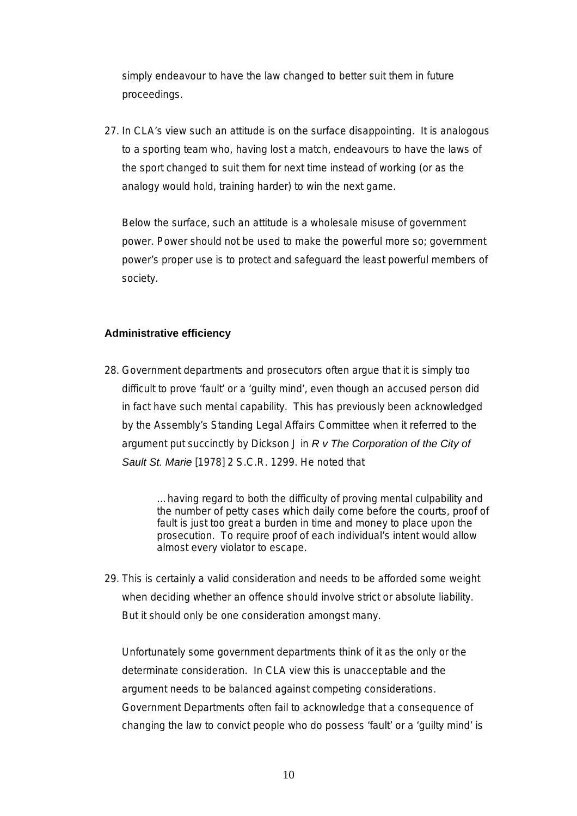simply endeavour to have the law changed to better suit them in future proceedings.

27. In CLA's view such an attitude is on the surface disappointing. It is analogous to a sporting team who, having lost a match, endeavours to have the laws of the sport changed to suit them for next time instead of working (or as the analogy would hold, training harder) to win the next game.

Below the surface, such an attitude is a wholesale misuse of government power. Power should not be used to make the powerful more so; government power's proper use is to protect and safeguard the least powerful members of society.

#### **Administrative efficiency**

28. Government departments and prosecutors often argue that it is simply too difficult to prove 'fault' or a 'guilty mind', even though an accused person did in fact have such mental capability. This has previously been acknowledged by the Assembly's Standing Legal Affairs Committee when it referred to the argument put succinctly by Dickson J in *R v The Corporation of the City of Sault St. Marie* [1978] 2 S.C.R. 1299. He noted that

> …having regard to both the difficulty of proving mental culpability and the number of petty cases which daily come before the courts, proof of fault is just too great a burden in time and money to place upon the prosecution. To require proof of each individual's intent would allow almost every violator to escape.

29. This is certainly a valid consideration and needs to be afforded some weight when deciding whether an offence should involve strict or absolute liability. But it should only be one consideration amongst many.

Unfortunately some government departments think of it as the only or the determinate consideration. In CLA view this is unacceptable and the argument needs to be balanced against competing considerations. Government Departments often fail to acknowledge that a consequence of changing the law to convict people who do possess 'fault' or a 'guilty mind' is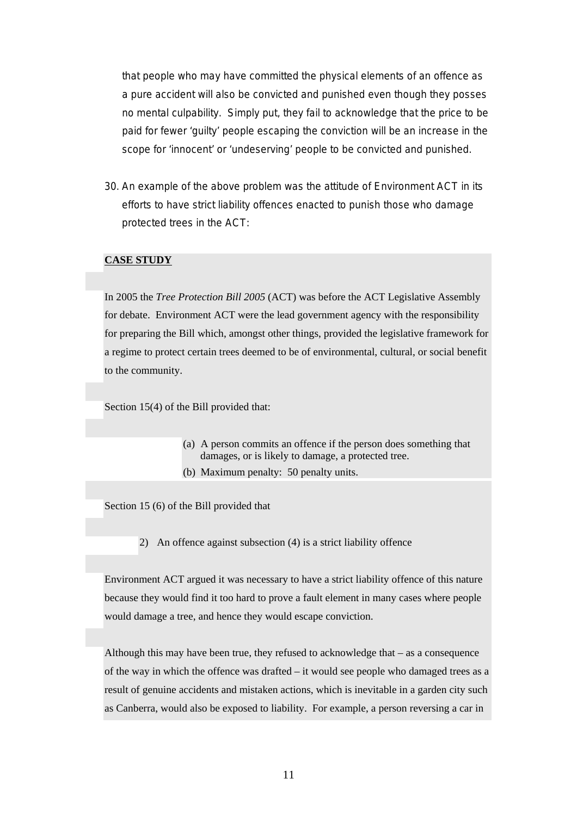that people who may have committed the physical elements of an offence as a pure accident will also be convicted and punished even though they posses no mental culpability. Simply put, they fail to acknowledge that the price to be paid for fewer 'guilty' people escaping the conviction will be an increase in the scope for 'innocent' or 'undeserving' people to be convicted and punished.

30. An example of the above problem was the attitude of Environment ACT in its efforts to have strict liability offences enacted to punish those who damage protected trees in the ACT:

#### **CASE STUDY**

In 2005 the *Tree Protection Bill 2005* (ACT) was before the ACT Legislative Assembly for debate. Environment ACT were the lead government agency with the responsibility for preparing the Bill which, amongst other things, provided the legislative framework for a regime to protect certain trees deemed to be of environmental, cultural, or social benefit to the community.

Section 15(4) of the Bill provided that:

- (a) A person commits an offence if the person does something that damages, or is likely to damage, a protected tree.
- (b) Maximum penalty: 50 penalty units.

Section 15 (6) of the Bill provided that

2) An offence against subsection (4) is a strict liability offence

Environment ACT argued it was necessary to have a strict liability offence of this nature because they would find it too hard to prove a fault element in many cases where people would damage a tree, and hence they would escape conviction.

Although this may have been true, they refused to acknowledge that – as a consequence of the way in which the offence was drafted – it would see people who damaged trees as a result of genuine accidents and mistaken actions, which is inevitable in a garden city such as Canberra, would also be exposed to liability. For example, a person reversing a car in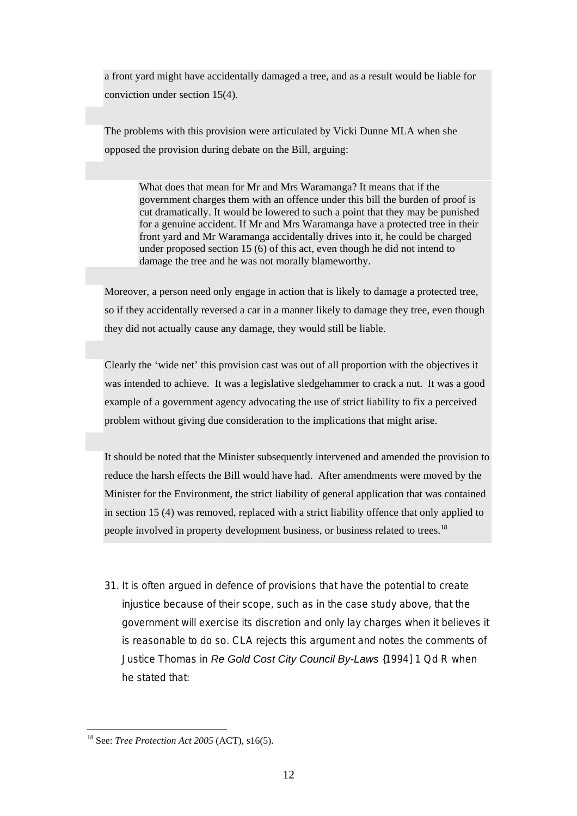a front yard might have accidentally damaged a tree, and as a result would be liable for conviction under section 15(4).

The problems with this provision were articulated by Vicki Dunne MLA when she opposed the provision during debate on the Bill, arguing:

What does that mean for Mr and Mrs Waramanga? It means that if the government charges them with an offence under this bill the burden of proof is cut dramatically. It would be lowered to such a point that they may be punished for a genuine accident. If Mr and Mrs Waramanga have a protected tree in their front yard and Mr Waramanga accidentally drives into it, he could be charged under proposed section 15 (6) of this act, even though he did not intend to damage the tree and he was not morally blameworthy.

Moreover, a person need only engage in action that is likely to damage a protected tree, so if they accidentally reversed a car in a manner likely to damage they tree, even though they did not actually cause any damage, they would still be liable.

Clearly the 'wide net' this provision cast was out of all proportion with the objectives it was intended to achieve. It was a legislative sledgehammer to crack a nut. It was a good example of a government agency advocating the use of strict liability to fix a perceived problem without giving due consideration to the implications that might arise.

It should be noted that the Minister subsequently intervened and amended the provision to reduce the harsh effects the Bill would have had. After amendments were moved by the Minister for the Environment, the strict liability of general application that was contained in section 15 (4) was removed, replaced with a strict liability offence that only applied to people involved in property development business, or business related to trees.<sup>[18](#page-11-0)</sup>

31. It is often argued in defence of provisions that have the potential to create injustice because of their scope, such as in the case study above, that the government will exercise its discretion and only lay charges when it believes it is reasonable to do so. CLA rejects this argument and notes the comments of Justice Thomas in *Re Gold Cost City Council By-Laws* {1994] 1 Qd R when he stated that:

<span id="page-11-0"></span><sup>18</sup> See: *Tree Protection Act 2005* (ACT), s16(5).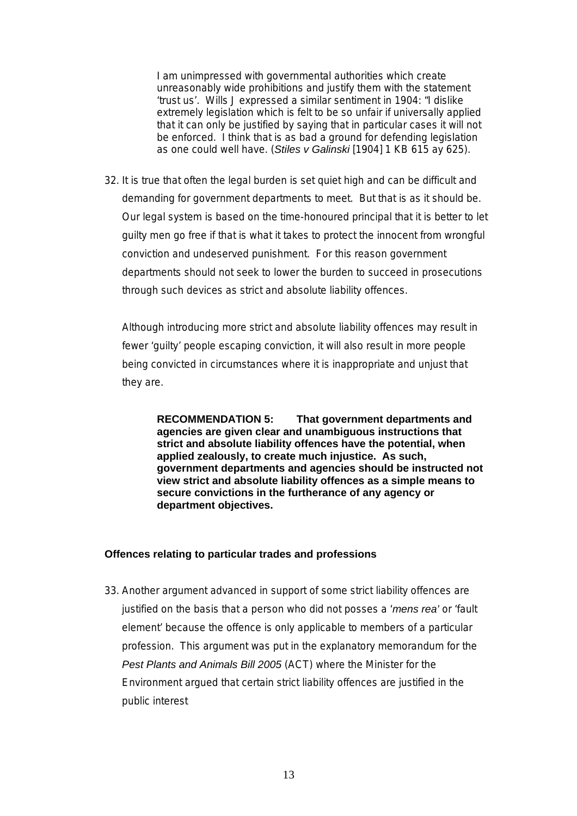I am unimpressed with governmental authorities which create unreasonably wide prohibitions and justify them with the statement 'trust us'. Wills J expressed a similar sentiment in 1904: "I dislike extremely legislation which is felt to be so unfair if universally applied that it can only be justified by saying that in particular cases it will not be enforced. I think that is as bad a ground for defending legislation as one could well have. (*Stiles v Galinski* [1904] 1 KB 615 ay 625).

32. It is true that often the legal burden is set quiet high and can be difficult and demanding for government departments to meet. But that is as it should be. Our legal system is based on the time-honoured principal that it is better to let guilty men go free if that is what it takes to protect the innocent from wrongful conviction and undeserved punishment. For this reason government departments should not seek to lower the burden to succeed in prosecutions through such devices as strict and absolute liability offences.

Although introducing more strict and absolute liability offences may result in fewer 'guilty' people escaping conviction, it will also result in more people being convicted in circumstances where it is inappropriate and unjust that they are.

**RECOMMENDATION 5: That government departments and agencies are given clear and unambiguous instructions that strict and absolute liability offences have the potential, when applied zealously, to create much injustice. As such, government departments and agencies should be instructed not view strict and absolute liability offences as a simple means to secure convictions in the furtherance of any agency or department objectives.** 

#### **Offences relating to particular trades and professions**

33. Another argument advanced in support of some strict liability offences are justified on the basis that a person who did not posses a '*mens rea'* or 'fault element' because the offence is only applicable to members of a particular profession. This argument was put in the explanatory memorandum for the *Pest Plants and Animals Bill 2005* (ACT) where the Minister for the Environment argued that certain strict liability offences are justified in the public interest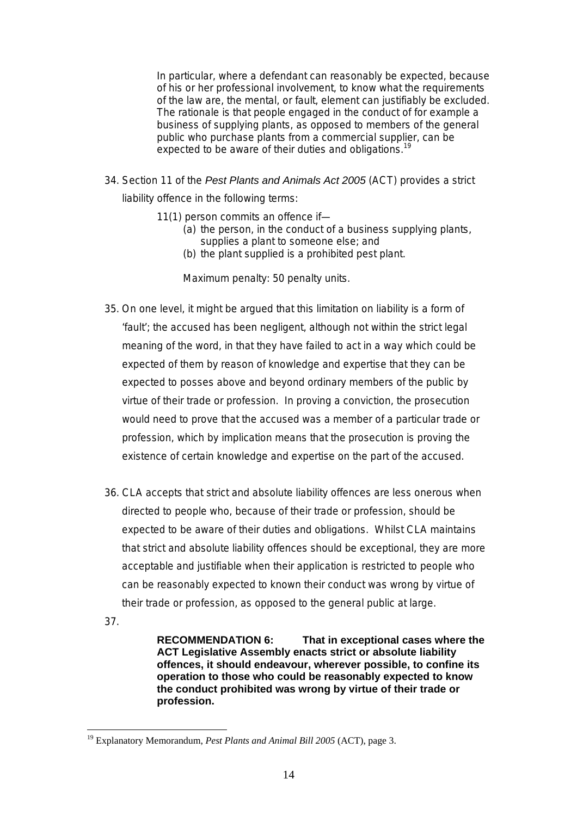In particular, where a defendant can reasonably be expected, because of his or her professional involvement, to know what the requirements of the law are, the mental, or fault, element can justifiably be excluded. The rationale is that people engaged in the conduct of for example a business of supplying plants, as opposed to members of the general public who purchase plants from a commercial supplier, can be expected to be aware of their duties and obligations.<sup>[19](#page-13-0)</sup>

- 34. Section 11 of the *Pest Plants and Animals Act 2005* (ACT) provides a strict liability offence in the following terms:
	- 11(1) person commits an offence if—
		- (a) the person, in the conduct of a business supplying plants, supplies a plant to someone else; and
		- (b) the plant supplied is a prohibited pest plant.

Maximum penalty: 50 penalty units.

- 35. On one level, it might be argued that this limitation on liability is a form of 'fault'; the accused has been negligent, although not within the strict legal meaning of the word, in that they have failed to act in a way which could be expected of them by reason of knowledge and expertise that they can be expected to posses above and beyond ordinary members of the public by virtue of their trade or profession. In proving a conviction, the prosecution would need to prove that the accused was a member of a particular trade or profession, which by implication means that the prosecution is proving the existence of certain knowledge and expertise on the part of the accused.
- 36. CLA accepts that strict and absolute liability offences are less onerous when directed to people who, because of their trade or profession, should be expected to be aware of their duties and obligations. Whilst CLA maintains that strict and absolute liability offences should be exceptional, they are more acceptable and justifiable when their application is restricted to people who can be reasonably expected to known their conduct was wrong by virtue of their trade or profession, as opposed to the general public at large.
- 37.

 $\overline{a}$ 

**RECOMMENDATION 6: That in exceptional cases where the ACT Legislative Assembly enacts strict or absolute liability offences, it should endeavour, wherever possible, to confine its operation to those who could be reasonably expected to know the conduct prohibited was wrong by virtue of their trade or profession.** 

<span id="page-13-0"></span><sup>&</sup>lt;sup>19</sup> Explanatory Memorandum, Pest Plants and Animal Bill 2005 (ACT), page 3.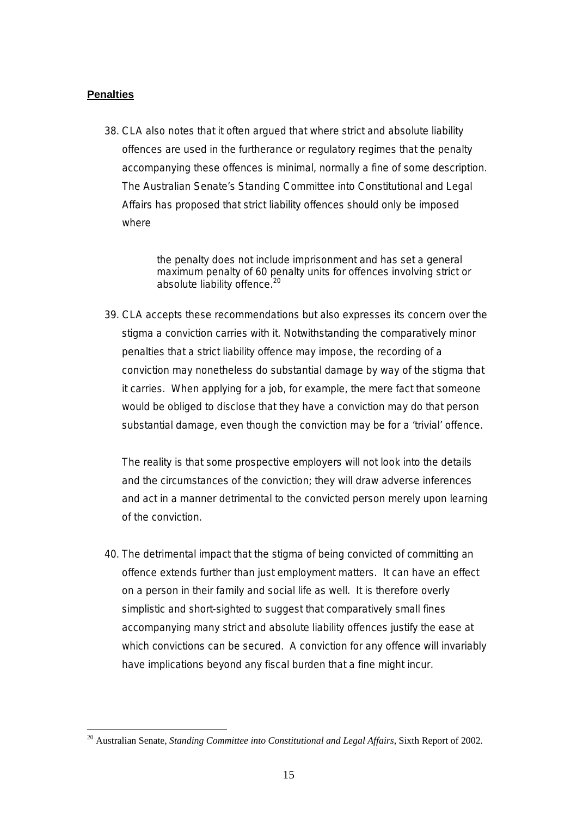#### **Penalties**

 $\overline{a}$ 

38. CLA also notes that it often argued that where strict and absolute liability offences are used in the furtherance or regulatory regimes that the penalty accompanying these offences is minimal, normally a fine of some description. The Australian Senate's Standing Committee into Constitutional and Legal Affairs has proposed that strict liability offences should only be imposed where

> the penalty does not include imprisonment and has set a general maximum penalty of 60 penalty units for offences involving strict or absolute liability offence.<sup>[20](#page-14-0)</sup>

39. CLA accepts these recommendations but also expresses its concern over the stigma a conviction carries with it. Notwithstanding the comparatively minor penalties that a strict liability offence may impose, the recording of a conviction may nonetheless do substantial damage by way of the stigma that it carries. When applying for a job, for example, the mere fact that someone would be obliged to disclose that they have a conviction may do that person substantial damage, even though the conviction may be for a 'trivial' offence.

The reality is that some prospective employers will not look into the details and the circumstances of the conviction; they will draw adverse inferences and act in a manner detrimental to the convicted person merely upon learning of the conviction.

40. The detrimental impact that the stigma of being convicted of committing an offence extends further than just employment matters. It can have an effect on a person in their family and social life as well. It is therefore overly simplistic and short-sighted to suggest that comparatively small fines accompanying many strict and absolute liability offences justify the ease at which convictions can be secured. A conviction for any offence will invariably have implications beyond any fiscal burden that a fine might incur.

<span id="page-14-0"></span><sup>20</sup> Australian Senate, *Standing Committee into Constitutional and Legal Affairs*, Sixth Report of 2002.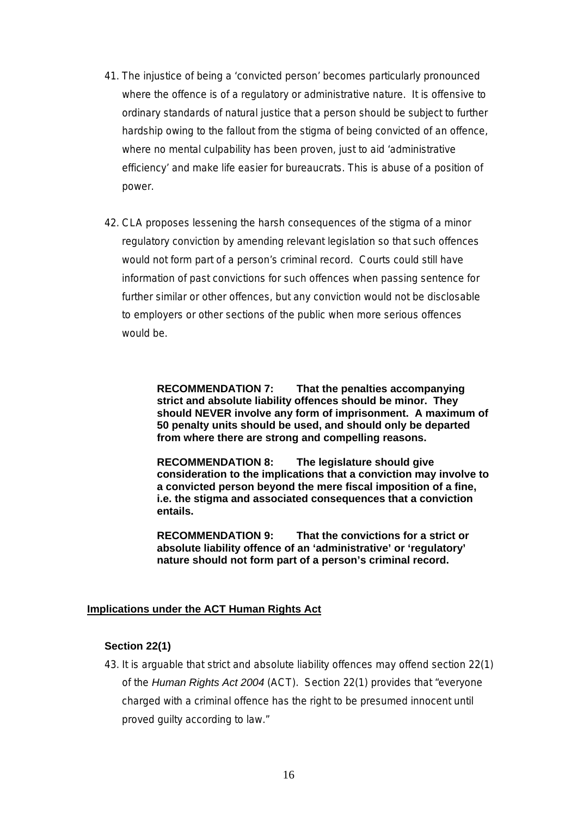- 41. The injustice of being a 'convicted person' becomes particularly pronounced where the offence is of a regulatory or administrative nature. It is offensive to ordinary standards of natural justice that a person should be subject to further hardship owing to the fallout from the stigma of being convicted of an offence, where no mental culpability has been proven, just to aid 'administrative efficiency' and make life easier for bureaucrats. This is abuse of a position of power.
- 42. CLA proposes lessening the harsh consequences of the stigma of a minor regulatory conviction by amending relevant legislation so that such offences would not form part of a person's criminal record. Courts could still have information of past convictions for such offences when passing sentence for further similar or other offences, but any conviction would not be disclosable to employers or other sections of the public when more serious offences would be.

**RECOMMENDATION 7: That the penalties accompanying strict and absolute liability offences should be minor. They should NEVER involve any form of imprisonment. A maximum of 50 penalty units should be used, and should only be departed from where there are strong and compelling reasons.** 

**RECOMMENDATION 8: The legislature should give consideration to the implications that a conviction may involve to a convicted person beyond the mere fiscal imposition of a fine, i.e. the stigma and associated consequences that a conviction entails.** 

**RECOMMENDATION 9: That the convictions for a strict or absolute liability offence of an 'administrative' or 'regulatory' nature should not form part of a person's criminal record.** 

#### **Implications under the ACT Human Rights Act**

#### **Section 22(1)**

43. It is arguable that strict and absolute liability offences may offend section 22(1) of the *Human Rights Act 2004* (ACT). Section 22(1) provides that "everyone charged with a criminal offence has the right to be presumed innocent until proved guilty according to law."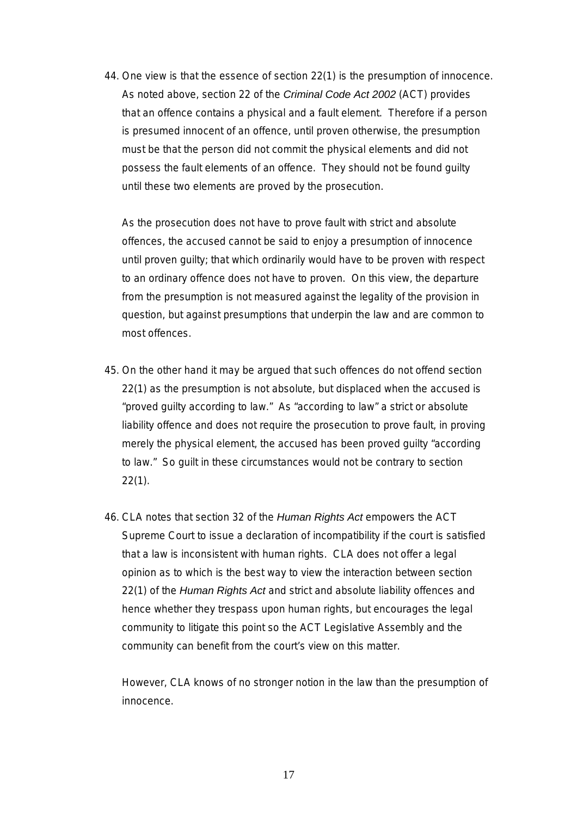44. One view is that the essence of section 22(1) is the presumption of innocence. As noted above, section 22 of the *Criminal Code Act 2002* (ACT) provides that an offence contains a physical and a fault element. Therefore if a person is presumed innocent of an offence, until proven otherwise, the presumption must be that the person did not commit the physical elements and did not possess the fault elements of an offence. They should not be found guilty until these two elements are proved by the prosecution.

As the prosecution does not have to prove fault with strict and absolute offences, the accused cannot be said to enjoy a presumption of innocence until proven guilty; that which ordinarily would have to be proven with respect to an ordinary offence does not have to proven. On this view, the departure from the presumption is not measured against the legality of the provision in question, but against presumptions that underpin the law and are common to most offences.

- 45. On the other hand it may be argued that such offences do not offend section 22(1) as the presumption is not absolute, but displaced when the accused is "proved guilty according to law." As "according to law" a strict or absolute liability offence and does not require the prosecution to prove fault, in proving merely the physical element, the accused has been proved guilty "according to law." So guilt in these circumstances would not be contrary to section 22(1).
- 46. CLA notes that section 32 of the *Human Rights Act* empowers the ACT Supreme Court to issue a declaration of incompatibility if the court is satisfied that a law is inconsistent with human rights. CLA does not offer a legal opinion as to which is the best way to view the interaction between section 22(1) of the *Human Rights Act* and strict and absolute liability offences and hence whether they trespass upon human rights, but encourages the legal community to litigate this point so the ACT Legislative Assembly and the community can benefit from the court's view on this matter.

However, CLA knows of no stronger notion in the law than the presumption of innocence.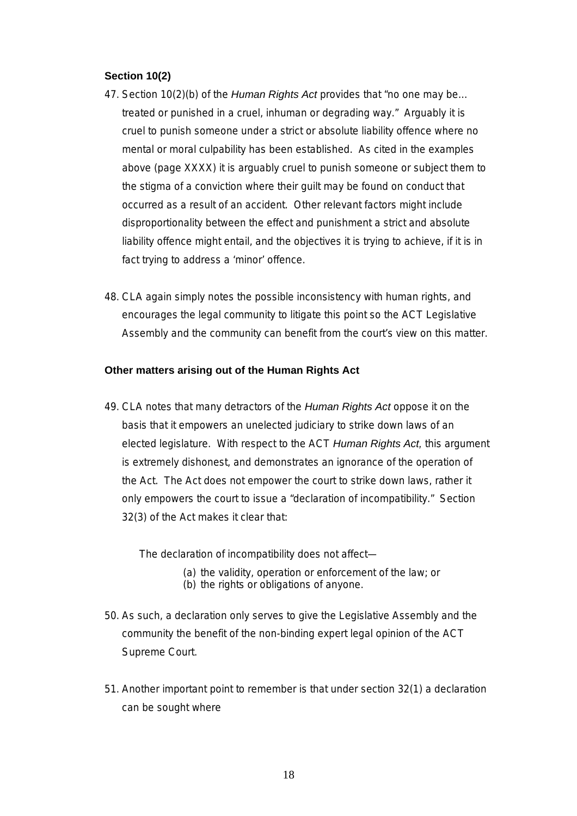#### **Section 10(2)**

- 47. Section 10(2)(b) of the *Human Rights Act* provides that "no one may be… treated or punished in a cruel, inhuman or degrading way." Arguably it is cruel to punish someone under a strict or absolute liability offence where no mental or moral culpability has been established. As cited in the examples above (page XXXX) it is arguably cruel to punish someone or subject them to the stigma of a conviction where their guilt may be found on conduct that occurred as a result of an accident. Other relevant factors might include disproportionality between the effect and punishment a strict and absolute liability offence might entail, and the objectives it is trying to achieve, if it is in fact trying to address a 'minor' offence.
- 48. CLA again simply notes the possible inconsistency with human rights, and encourages the legal community to litigate this point so the ACT Legislative Assembly and the community can benefit from the court's view on this matter.

#### **Other matters arising out of the Human Rights Act**

49. CLA notes that many detractors of the *Human Rights Act* oppose it on the basis that it empowers an unelected judiciary to strike down laws of an elected legislature. With respect to the ACT *Human Rights Act,* this argument is extremely dishonest, and demonstrates an ignorance of the operation of the Act. The Act does not empower the court to strike down laws, rather it only empowers the court to issue a "declaration of incompatibility." Section 32(3) of the Act makes it clear that:

The declaration of incompatibility does not affect—

- (a) the validity, operation or enforcement of the law; or
- (b) the rights or obligations of anyone.
- 50. As such, a declaration only serves to give the Legislative Assembly and the community the benefit of the non-binding expert legal opinion of the ACT Supreme Court.
- 51. Another important point to remember is that under section 32(1) a declaration can be sought where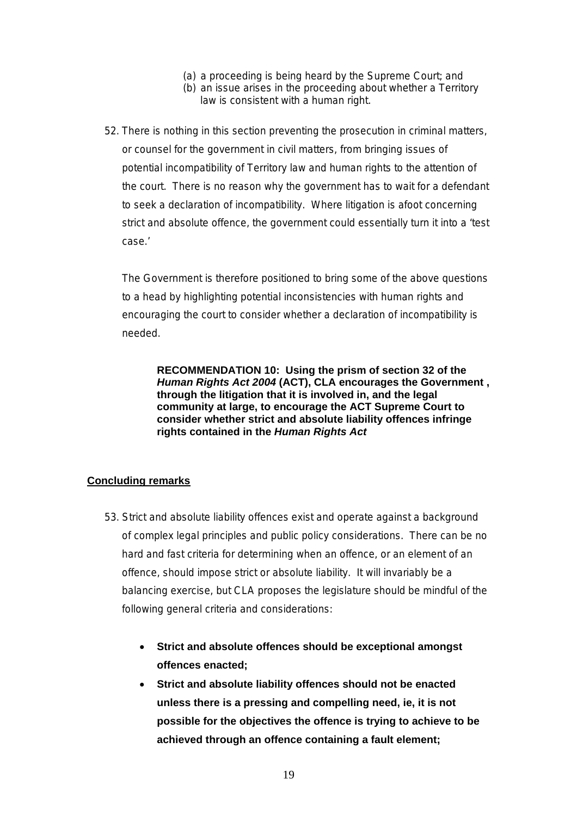- (a) a proceeding is being heard by the Supreme Court; and
- (b) an issue arises in the proceeding about whether a Territory law is consistent with a human right.
- 52. There is nothing in this section preventing the prosecution in criminal matters, or counsel for the government in civil matters, from bringing issues of potential incompatibility of Territory law and human rights to the attention of the court. There is no reason why the government has to wait for a defendant to seek a declaration of incompatibility. Where litigation is afoot concerning strict and absolute offence, the government could essentially turn it into a 'test case.'

The Government is therefore positioned to bring some of the above questions to a head by highlighting potential inconsistencies with human rights and encouraging the court to consider whether a declaration of incompatibility is needed.

**RECOMMENDATION 10: Using the prism of section 32 of the**  *Human Rights Act 2004* **(ACT), CLA encourages the Government , through the litigation that it is involved in, and the legal community at large, to encourage the ACT Supreme Court to consider whether strict and absolute liability offences infringe rights contained in the** *Human Rights Act* 

#### **Concluding remarks**

- 53. Strict and absolute liability offences exist and operate against a background of complex legal principles and public policy considerations. There can be no hard and fast criteria for determining when an offence, or an element of an offence, should impose strict or absolute liability. It will invariably be a balancing exercise, but CLA proposes the legislature should be mindful of the following general criteria and considerations:
	- **Strict and absolute offences should be exceptional amongst offences enacted;**
	- **Strict and absolute liability offences should not be enacted unless there is a pressing and compelling need, ie, it is not possible for the objectives the offence is trying to achieve to be achieved through an offence containing a fault element;**